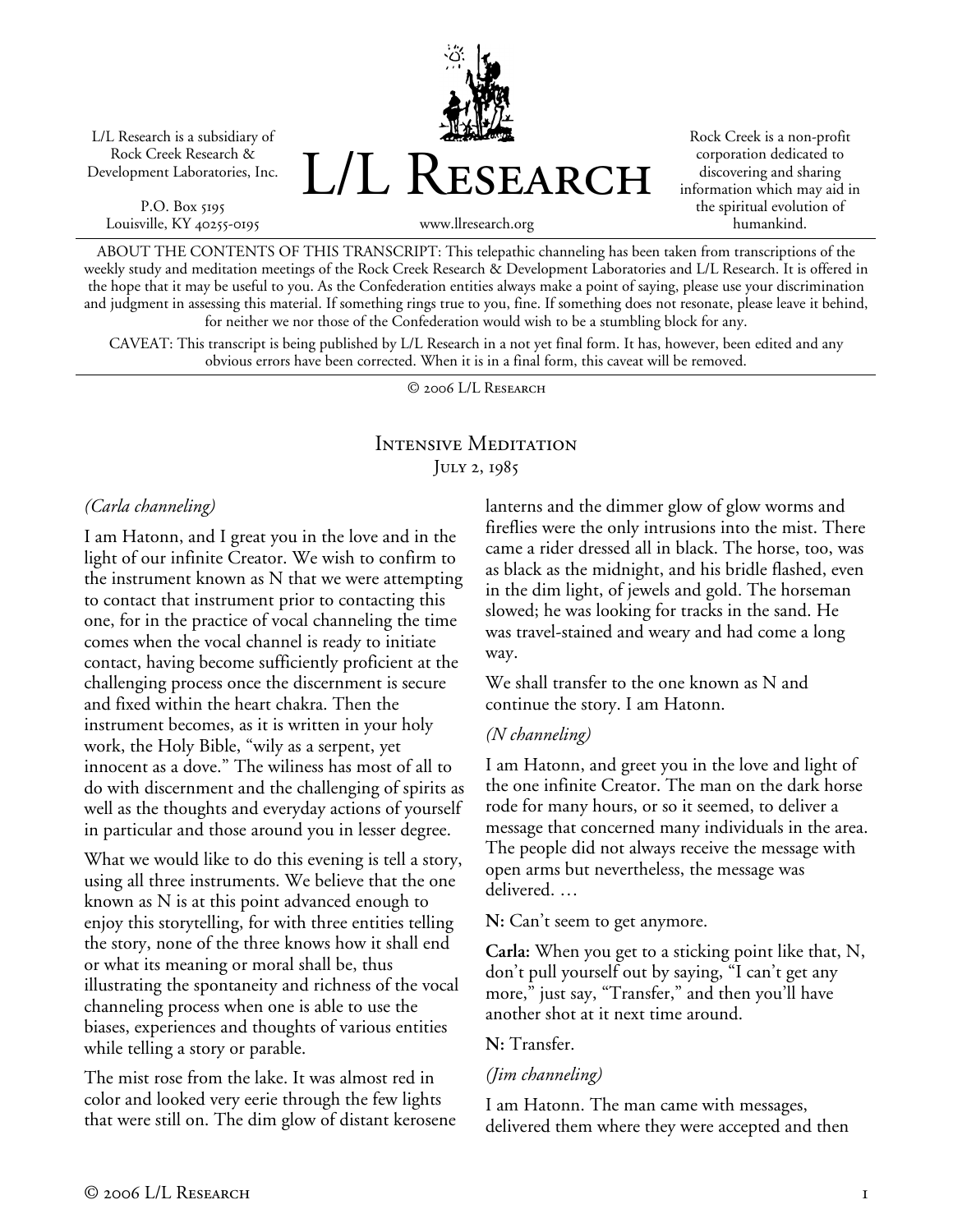L/L Research is a subsidiary of Rock Creek Research & Development Laboratories, Inc.

P.O. Box 5195 Louisville, KY 40255-0195 L/L Research

Rock Creek is a non-profit corporation dedicated to discovering and sharing information which may aid in the spiritual evolution of humankind.

www.llresearch.org

ABOUT THE CONTENTS OF THIS TRANSCRIPT: This telepathic channeling has been taken from transcriptions of the weekly study and meditation meetings of the Rock Creek Research & Development Laboratories and L/L Research. It is offered in the hope that it may be useful to you. As the Confederation entities always make a point of saying, please use your discrimination and judgment in assessing this material. If something rings true to you, fine. If something does not resonate, please leave it behind, for neither we nor those of the Confederation would wish to be a stumbling block for any.

CAVEAT: This transcript is being published by L/L Research in a not yet final form. It has, however, been edited and any obvious errors have been corrected. When it is in a final form, this caveat will be removed.

© 2006 L/L Research

# Intensive Meditation JULY 2, 1985

### *(Carla channeling)*

I am Hatonn, and I great you in the love and in the light of our infinite Creator. We wish to confirm to the instrument known as N that we were attempting to contact that instrument prior to contacting this one, for in the practice of vocal channeling the time comes when the vocal channel is ready to initiate contact, having become sufficiently proficient at the challenging process once the discernment is secure and fixed within the heart chakra. Then the instrument becomes, as it is written in your holy work, the Holy Bible, "wily as a serpent, yet innocent as a dove." The wiliness has most of all to do with discernment and the challenging of spirits as well as the thoughts and everyday actions of yourself in particular and those around you in lesser degree.

What we would like to do this evening is tell a story, using all three instruments. We believe that the one known as N is at this point advanced enough to enjoy this storytelling, for with three entities telling the story, none of the three knows how it shall end or what its meaning or moral shall be, thus illustrating the spontaneity and richness of the vocal channeling process when one is able to use the biases, experiences and thoughts of various entities while telling a story or parable.

The mist rose from the lake. It was almost red in color and looked very eerie through the few lights that were still on. The dim glow of distant kerosene lanterns and the dimmer glow of glow worms and fireflies were the only intrusions into the mist. There came a rider dressed all in black. The horse, too, was as black as the midnight, and his bridle flashed, even in the dim light, of jewels and gold. The horseman slowed; he was looking for tracks in the sand. He was travel-stained and weary and had come a long way.

We shall transfer to the one known as N and continue the story. I am Hatonn.

### *(N channeling)*

I am Hatonn, and greet you in the love and light of the one infinite Creator. The man on the dark horse rode for many hours, or so it seemed, to deliver a message that concerned many individuals in the area. The people did not always receive the message with open arms but nevertheless, the message was delivered. …

**N:** Can't seem to get anymore.

**Carla:** When you get to a sticking point like that, N, don't pull yourself out by saying, "I can't get any more," just say, "Transfer," and then you'll have another shot at it next time around.

**N:** Transfer.

#### *(Jim channeling)*

I am Hatonn. The man came with messages, delivered them where they were accepted and then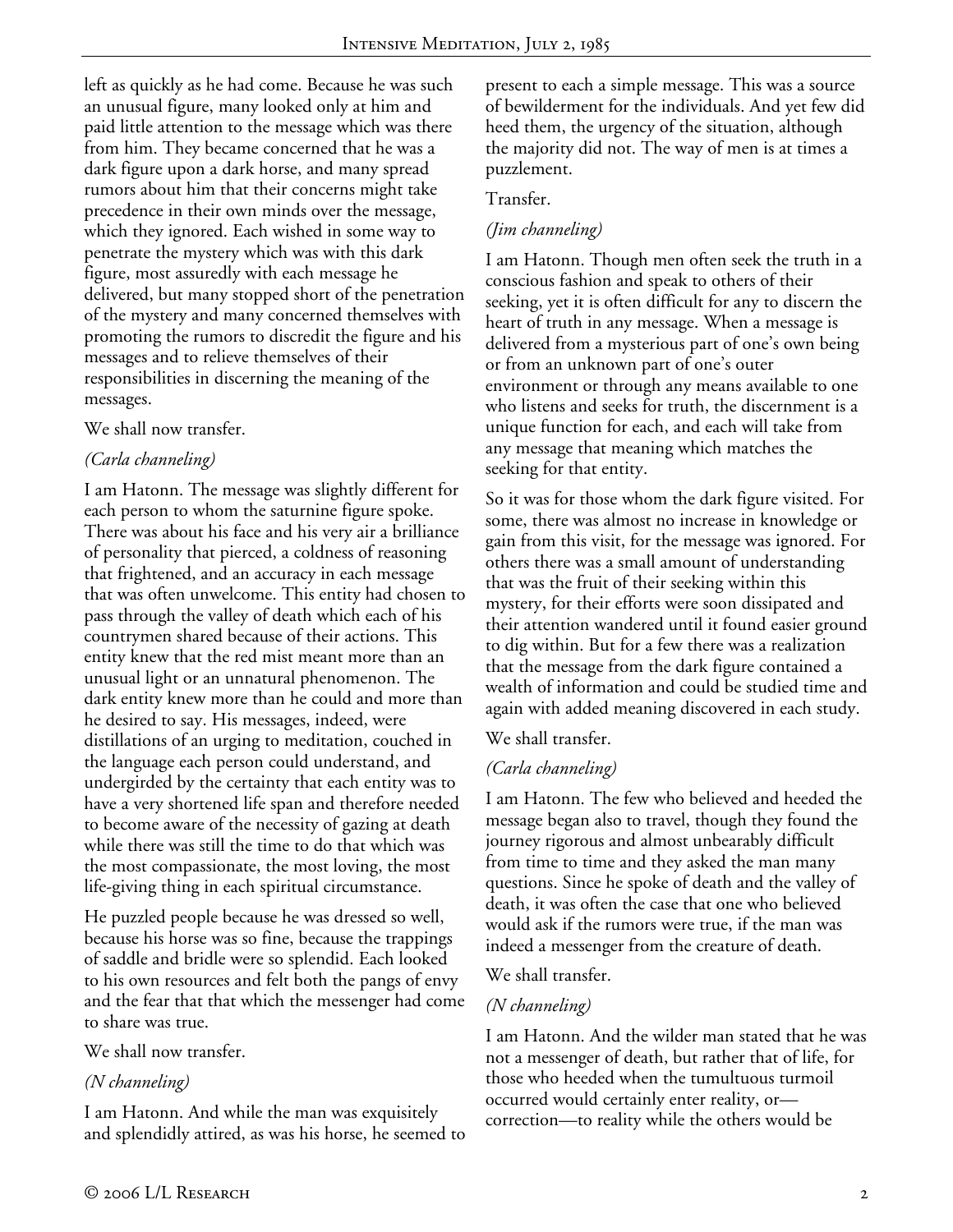left as quickly as he had come. Because he was such an unusual figure, many looked only at him and paid little attention to the message which was there from him. They became concerned that he was a dark figure upon a dark horse, and many spread rumors about him that their concerns might take precedence in their own minds over the message, which they ignored. Each wished in some way to penetrate the mystery which was with this dark figure, most assuredly with each message he delivered, but many stopped short of the penetration of the mystery and many concerned themselves with promoting the rumors to discredit the figure and his messages and to relieve themselves of their responsibilities in discerning the meaning of the messages.

#### We shall now transfer.

### *(Carla channeling)*

I am Hatonn. The message was slightly different for each person to whom the saturnine figure spoke. There was about his face and his very air a brilliance of personality that pierced, a coldness of reasoning that frightened, and an accuracy in each message that was often unwelcome. This entity had chosen to pass through the valley of death which each of his countrymen shared because of their actions. This entity knew that the red mist meant more than an unusual light or an unnatural phenomenon. The dark entity knew more than he could and more than he desired to say. His messages, indeed, were distillations of an urging to meditation, couched in the language each person could understand, and undergirded by the certainty that each entity was to have a very shortened life span and therefore needed to become aware of the necessity of gazing at death while there was still the time to do that which was the most compassionate, the most loving, the most life-giving thing in each spiritual circumstance.

He puzzled people because he was dressed so well, because his horse was so fine, because the trappings of saddle and bridle were so splendid. Each looked to his own resources and felt both the pangs of envy and the fear that that which the messenger had come to share was true.

#### We shall now transfer.

### *(N channeling)*

I am Hatonn. And while the man was exquisitely and splendidly attired, as was his horse, he seemed to present to each a simple message. This was a source of bewilderment for the individuals. And yet few did heed them, the urgency of the situation, although the majority did not. The way of men is at times a puzzlement.

#### Transfer.

## *(Jim channeling)*

I am Hatonn. Though men often seek the truth in a conscious fashion and speak to others of their seeking, yet it is often difficult for any to discern the heart of truth in any message. When a message is delivered from a mysterious part of one's own being or from an unknown part of one's outer environment or through any means available to one who listens and seeks for truth, the discernment is a unique function for each, and each will take from any message that meaning which matches the seeking for that entity.

So it was for those whom the dark figure visited. For some, there was almost no increase in knowledge or gain from this visit, for the message was ignored. For others there was a small amount of understanding that was the fruit of their seeking within this mystery, for their efforts were soon dissipated and their attention wandered until it found easier ground to dig within. But for a few there was a realization that the message from the dark figure contained a wealth of information and could be studied time and again with added meaning discovered in each study.

### We shall transfer.

### *(Carla channeling)*

I am Hatonn. The few who believed and heeded the message began also to travel, though they found the journey rigorous and almost unbearably difficult from time to time and they asked the man many questions. Since he spoke of death and the valley of death, it was often the case that one who believed would ask if the rumors were true, if the man was indeed a messenger from the creature of death.

#### We shall transfer.

### *(N channeling)*

I am Hatonn. And the wilder man stated that he was not a messenger of death, but rather that of life, for those who heeded when the tumultuous turmoil occurred would certainly enter reality, or correction—to reality while the others would be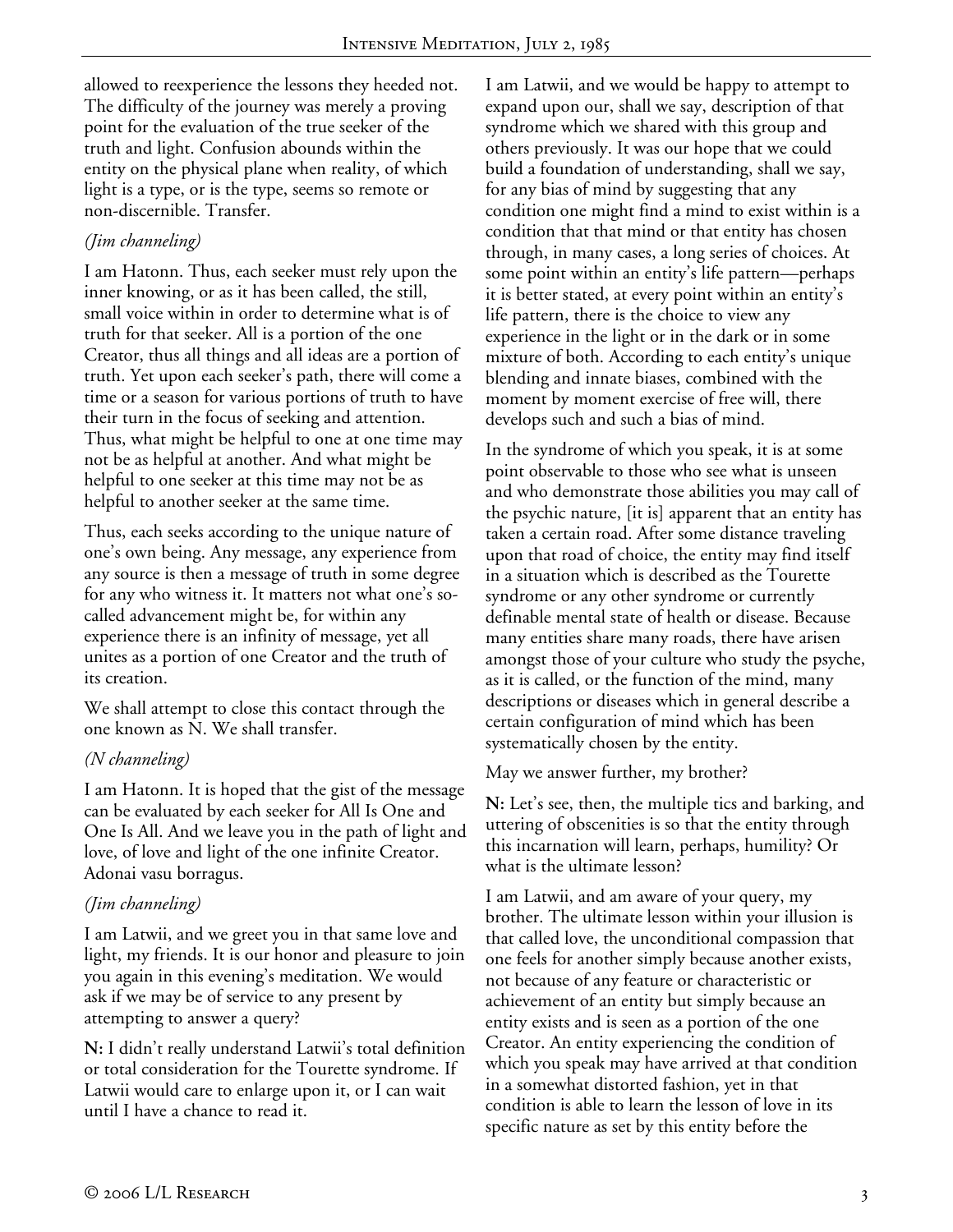allowed to reexperience the lessons they heeded not. The difficulty of the journey was merely a proving point for the evaluation of the true seeker of the truth and light. Confusion abounds within the entity on the physical plane when reality, of which light is a type, or is the type, seems so remote or non-discernible. Transfer.

#### *(Jim channeling)*

I am Hatonn. Thus, each seeker must rely upon the inner knowing, or as it has been called, the still, small voice within in order to determine what is of truth for that seeker. All is a portion of the one Creator, thus all things and all ideas are a portion of truth. Yet upon each seeker's path, there will come a time or a season for various portions of truth to have their turn in the focus of seeking and attention. Thus, what might be helpful to one at one time may not be as helpful at another. And what might be helpful to one seeker at this time may not be as helpful to another seeker at the same time.

Thus, each seeks according to the unique nature of one's own being. Any message, any experience from any source is then a message of truth in some degree for any who witness it. It matters not what one's socalled advancement might be, for within any experience there is an infinity of message, yet all unites as a portion of one Creator and the truth of its creation.

We shall attempt to close this contact through the one known as N. We shall transfer.

### *(N channeling)*

I am Hatonn. It is hoped that the gist of the message can be evaluated by each seeker for All Is One and One Is All. And we leave you in the path of light and love, of love and light of the one infinite Creator. Adonai vasu borragus.

### *(Jim channeling)*

I am Latwii, and we greet you in that same love and light, my friends. It is our honor and pleasure to join you again in this evening's meditation. We would ask if we may be of service to any present by attempting to answer a query?

**N:** I didn't really understand Latwii's total definition or total consideration for the Tourette syndrome. If Latwii would care to enlarge upon it, or I can wait until I have a chance to read it.

I am Latwii, and we would be happy to attempt to expand upon our, shall we say, description of that syndrome which we shared with this group and others previously. It was our hope that we could build a foundation of understanding, shall we say, for any bias of mind by suggesting that any condition one might find a mind to exist within is a condition that that mind or that entity has chosen through, in many cases, a long series of choices. At some point within an entity's life pattern—perhaps it is better stated, at every point within an entity's life pattern, there is the choice to view any experience in the light or in the dark or in some mixture of both. According to each entity's unique blending and innate biases, combined with the moment by moment exercise of free will, there develops such and such a bias of mind.

In the syndrome of which you speak, it is at some point observable to those who see what is unseen and who demonstrate those abilities you may call of the psychic nature, [it is] apparent that an entity has taken a certain road. After some distance traveling upon that road of choice, the entity may find itself in a situation which is described as the Tourette syndrome or any other syndrome or currently definable mental state of health or disease. Because many entities share many roads, there have arisen amongst those of your culture who study the psyche, as it is called, or the function of the mind, many descriptions or diseases which in general describe a certain configuration of mind which has been systematically chosen by the entity.

May we answer further, my brother?

**N:** Let's see, then, the multiple tics and barking, and uttering of obscenities is so that the entity through this incarnation will learn, perhaps, humility? Or what is the ultimate lesson?

I am Latwii, and am aware of your query, my brother. The ultimate lesson within your illusion is that called love, the unconditional compassion that one feels for another simply because another exists, not because of any feature or characteristic or achievement of an entity but simply because an entity exists and is seen as a portion of the one Creator. An entity experiencing the condition of which you speak may have arrived at that condition in a somewhat distorted fashion, yet in that condition is able to learn the lesson of love in its specific nature as set by this entity before the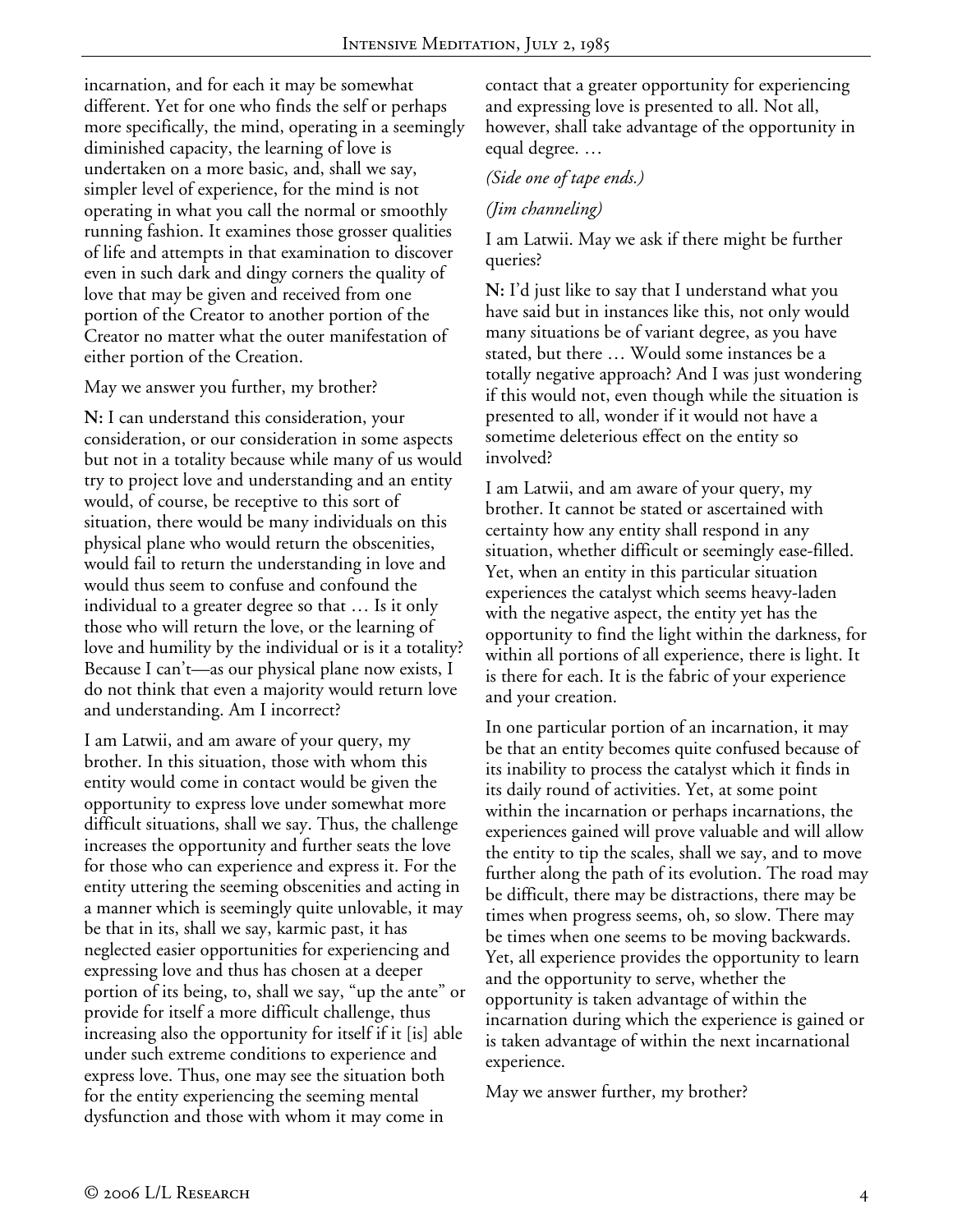incarnation, and for each it may be somewhat different. Yet for one who finds the self or perhaps more specifically, the mind, operating in a seemingly diminished capacity, the learning of love is undertaken on a more basic, and, shall we say, simpler level of experience, for the mind is not operating in what you call the normal or smoothly running fashion. It examines those grosser qualities of life and attempts in that examination to discover even in such dark and dingy corners the quality of love that may be given and received from one portion of the Creator to another portion of the Creator no matter what the outer manifestation of either portion of the Creation.

May we answer you further, my brother?

**N:** I can understand this consideration, your consideration, or our consideration in some aspects but not in a totality because while many of us would try to project love and understanding and an entity would, of course, be receptive to this sort of situation, there would be many individuals on this physical plane who would return the obscenities, would fail to return the understanding in love and would thus seem to confuse and confound the individual to a greater degree so that … Is it only those who will return the love, or the learning of love and humility by the individual or is it a totality? Because I can't—as our physical plane now exists, I do not think that even a majority would return love and understanding. Am I incorrect?

I am Latwii, and am aware of your query, my brother. In this situation, those with whom this entity would come in contact would be given the opportunity to express love under somewhat more difficult situations, shall we say. Thus, the challenge increases the opportunity and further seats the love for those who can experience and express it. For the entity uttering the seeming obscenities and acting in a manner which is seemingly quite unlovable, it may be that in its, shall we say, karmic past, it has neglected easier opportunities for experiencing and expressing love and thus has chosen at a deeper portion of its being, to, shall we say, "up the ante" or provide for itself a more difficult challenge, thus increasing also the opportunity for itself if it [is] able under such extreme conditions to experience and express love. Thus, one may see the situation both for the entity experiencing the seeming mental dysfunction and those with whom it may come in

contact that a greater opportunity for experiencing and expressing love is presented to all. Not all, however, shall take advantage of the opportunity in equal degree. …

*(Side one of tape ends.)* 

*(Jim channeling)* 

I am Latwii. May we ask if there might be further queries?

**N:** I'd just like to say that I understand what you have said but in instances like this, not only would many situations be of variant degree, as you have stated, but there … Would some instances be a totally negative approach? And I was just wondering if this would not, even though while the situation is presented to all, wonder if it would not have a sometime deleterious effect on the entity so involved?

I am Latwii, and am aware of your query, my brother. It cannot be stated or ascertained with certainty how any entity shall respond in any situation, whether difficult or seemingly ease-filled. Yet, when an entity in this particular situation experiences the catalyst which seems heavy-laden with the negative aspect, the entity yet has the opportunity to find the light within the darkness, for within all portions of all experience, there is light. It is there for each. It is the fabric of your experience and your creation.

In one particular portion of an incarnation, it may be that an entity becomes quite confused because of its inability to process the catalyst which it finds in its daily round of activities. Yet, at some point within the incarnation or perhaps incarnations, the experiences gained will prove valuable and will allow the entity to tip the scales, shall we say, and to move further along the path of its evolution. The road may be difficult, there may be distractions, there may be times when progress seems, oh, so slow. There may be times when one seems to be moving backwards. Yet, all experience provides the opportunity to learn and the opportunity to serve, whether the opportunity is taken advantage of within the incarnation during which the experience is gained or is taken advantage of within the next incarnational experience.

May we answer further, my brother?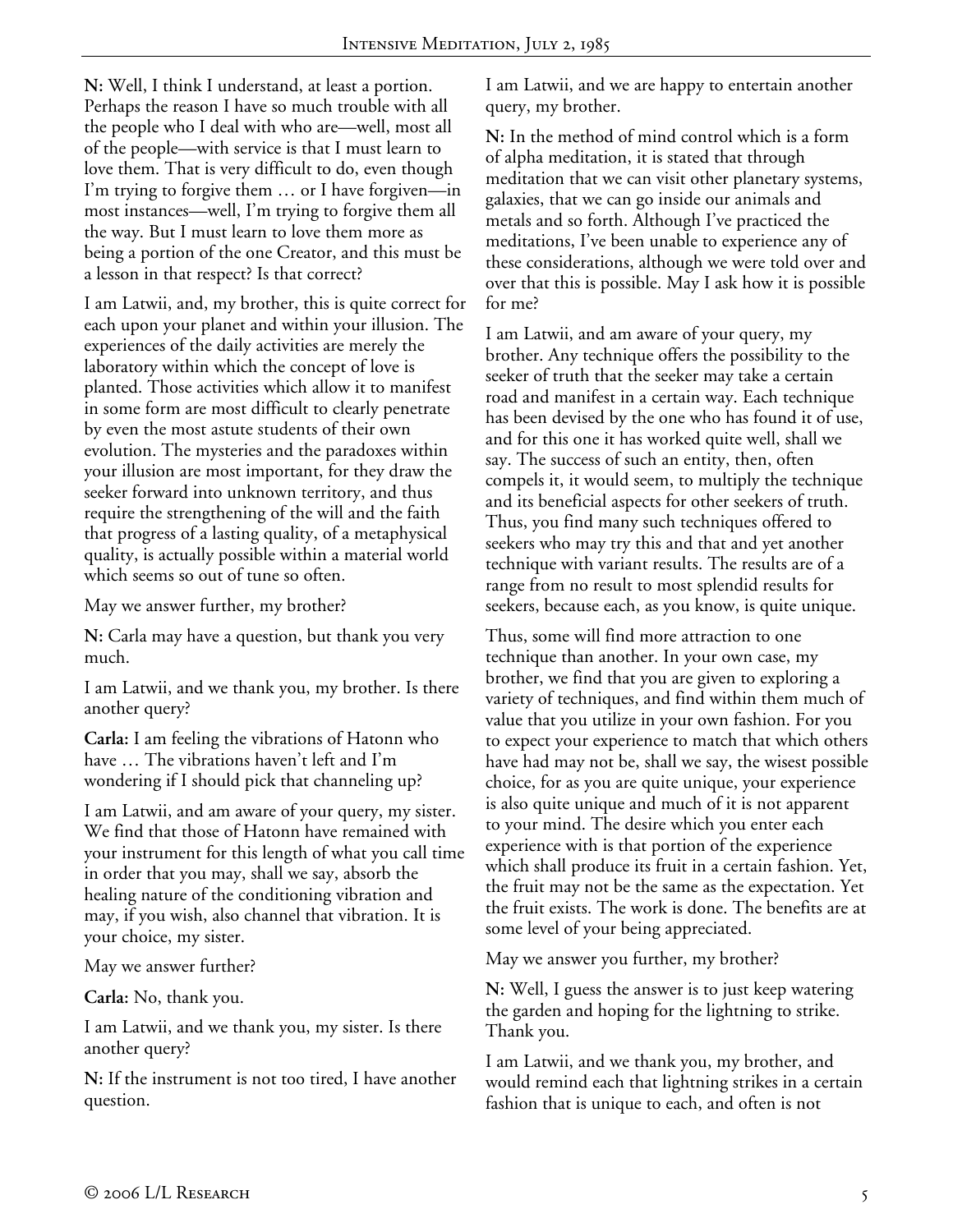**N:** Well, I think I understand, at least a portion. Perhaps the reason I have so much trouble with all the people who I deal with who are—well, most all of the people—with service is that I must learn to love them. That is very difficult to do, even though I'm trying to forgive them … or I have forgiven—in most instances—well, I'm trying to forgive them all the way. But I must learn to love them more as being a portion of the one Creator, and this must be a lesson in that respect? Is that correct?

I am Latwii, and, my brother, this is quite correct for each upon your planet and within your illusion. The experiences of the daily activities are merely the laboratory within which the concept of love is planted. Those activities which allow it to manifest in some form are most difficult to clearly penetrate by even the most astute students of their own evolution. The mysteries and the paradoxes within your illusion are most important, for they draw the seeker forward into unknown territory, and thus require the strengthening of the will and the faith that progress of a lasting quality, of a metaphysical quality, is actually possible within a material world which seems so out of tune so often.

May we answer further, my brother?

**N:** Carla may have a question, but thank you very much.

I am Latwii, and we thank you, my brother. Is there another query?

**Carla:** I am feeling the vibrations of Hatonn who have … The vibrations haven't left and I'm wondering if I should pick that channeling up?

I am Latwii, and am aware of your query, my sister. We find that those of Hatonn have remained with your instrument for this length of what you call time in order that you may, shall we say, absorb the healing nature of the conditioning vibration and may, if you wish, also channel that vibration. It is your choice, my sister.

May we answer further?

**Carla:** No, thank you.

I am Latwii, and we thank you, my sister. Is there another query?

**N:** If the instrument is not too tired, I have another question.

I am Latwii, and we are happy to entertain another query, my brother.

**N:** In the method of mind control which is a form of alpha meditation, it is stated that through meditation that we can visit other planetary systems, galaxies, that we can go inside our animals and metals and so forth. Although I've practiced the meditations, I've been unable to experience any of these considerations, although we were told over and over that this is possible. May I ask how it is possible for me?

I am Latwii, and am aware of your query, my brother. Any technique offers the possibility to the seeker of truth that the seeker may take a certain road and manifest in a certain way. Each technique has been devised by the one who has found it of use, and for this one it has worked quite well, shall we say. The success of such an entity, then, often compels it, it would seem, to multiply the technique and its beneficial aspects for other seekers of truth. Thus, you find many such techniques offered to seekers who may try this and that and yet another technique with variant results. The results are of a range from no result to most splendid results for seekers, because each, as you know, is quite unique.

Thus, some will find more attraction to one technique than another. In your own case, my brother, we find that you are given to exploring a variety of techniques, and find within them much of value that you utilize in your own fashion. For you to expect your experience to match that which others have had may not be, shall we say, the wisest possible choice, for as you are quite unique, your experience is also quite unique and much of it is not apparent to your mind. The desire which you enter each experience with is that portion of the experience which shall produce its fruit in a certain fashion. Yet, the fruit may not be the same as the expectation. Yet the fruit exists. The work is done. The benefits are at some level of your being appreciated.

May we answer you further, my brother?

**N:** Well, I guess the answer is to just keep watering the garden and hoping for the lightning to strike. Thank you.

I am Latwii, and we thank you, my brother, and would remind each that lightning strikes in a certain fashion that is unique to each, and often is not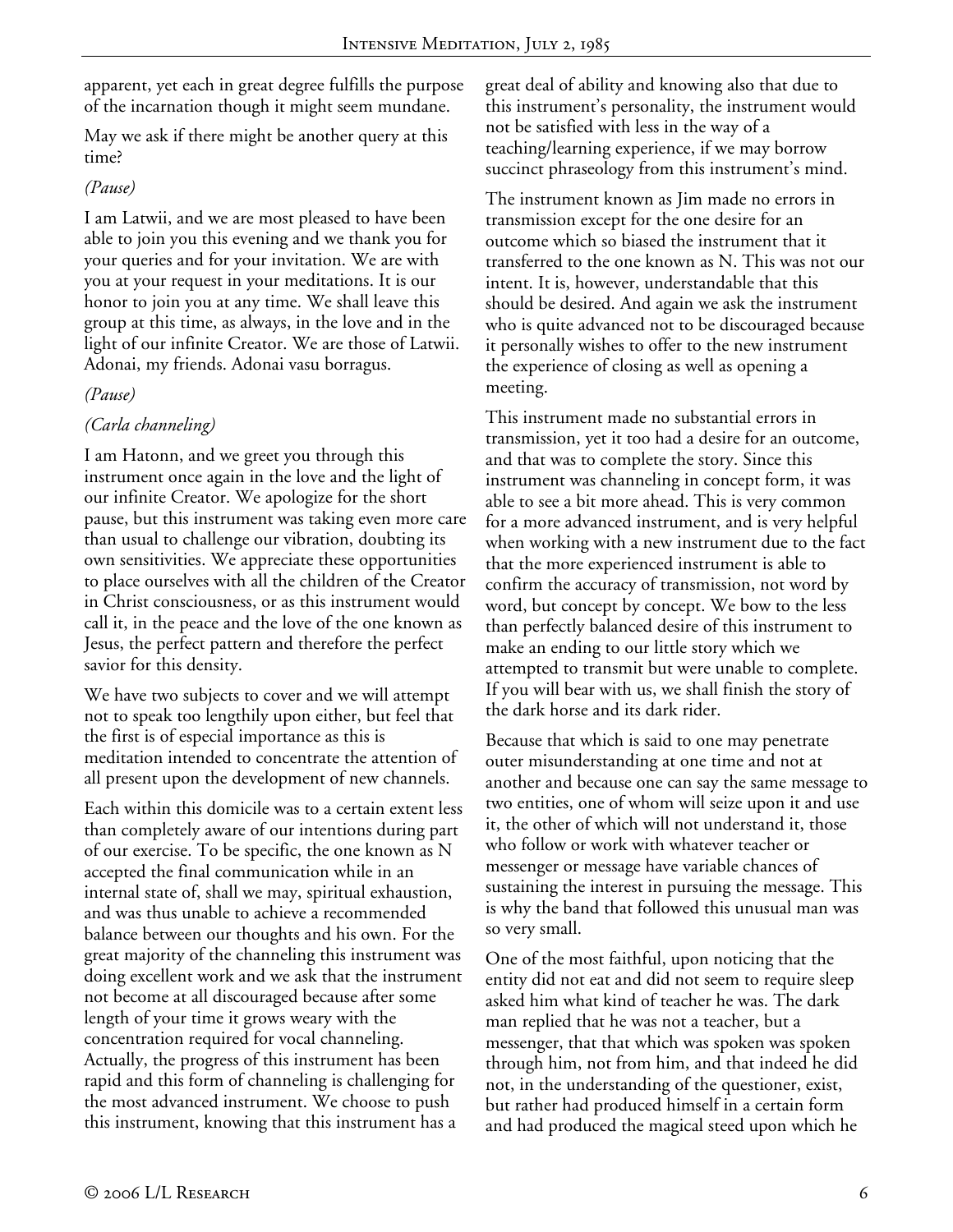apparent, yet each in great degree fulfills the purpose of the incarnation though it might seem mundane.

May we ask if there might be another query at this time?

## *(Pause)*

I am Latwii, and we are most pleased to have been able to join you this evening and we thank you for your queries and for your invitation. We are with you at your request in your meditations. It is our honor to join you at any time. We shall leave this group at this time, as always, in the love and in the light of our infinite Creator. We are those of Latwii. Adonai, my friends. Adonai vasu borragus.

### *(Pause)*

# *(Carla channeling)*

I am Hatonn, and we greet you through this instrument once again in the love and the light of our infinite Creator. We apologize for the short pause, but this instrument was taking even more care than usual to challenge our vibration, doubting its own sensitivities. We appreciate these opportunities to place ourselves with all the children of the Creator in Christ consciousness, or as this instrument would call it, in the peace and the love of the one known as Jesus, the perfect pattern and therefore the perfect savior for this density.

We have two subjects to cover and we will attempt not to speak too lengthily upon either, but feel that the first is of especial importance as this is meditation intended to concentrate the attention of all present upon the development of new channels.

Each within this domicile was to a certain extent less than completely aware of our intentions during part of our exercise. To be specific, the one known as N accepted the final communication while in an internal state of, shall we may, spiritual exhaustion, and was thus unable to achieve a recommended balance between our thoughts and his own. For the great majority of the channeling this instrument was doing excellent work and we ask that the instrument not become at all discouraged because after some length of your time it grows weary with the concentration required for vocal channeling. Actually, the progress of this instrument has been rapid and this form of channeling is challenging for the most advanced instrument. We choose to push this instrument, knowing that this instrument has a

great deal of ability and knowing also that due to this instrument's personality, the instrument would not be satisfied with less in the way of a teaching/learning experience, if we may borrow succinct phraseology from this instrument's mind.

The instrument known as Jim made no errors in transmission except for the one desire for an outcome which so biased the instrument that it transferred to the one known as N. This was not our intent. It is, however, understandable that this should be desired. And again we ask the instrument who is quite advanced not to be discouraged because it personally wishes to offer to the new instrument the experience of closing as well as opening a meeting.

This instrument made no substantial errors in transmission, yet it too had a desire for an outcome, and that was to complete the story. Since this instrument was channeling in concept form, it was able to see a bit more ahead. This is very common for a more advanced instrument, and is very helpful when working with a new instrument due to the fact that the more experienced instrument is able to confirm the accuracy of transmission, not word by word, but concept by concept. We bow to the less than perfectly balanced desire of this instrument to make an ending to our little story which we attempted to transmit but were unable to complete. If you will bear with us, we shall finish the story of the dark horse and its dark rider.

Because that which is said to one may penetrate outer misunderstanding at one time and not at another and because one can say the same message to two entities, one of whom will seize upon it and use it, the other of which will not understand it, those who follow or work with whatever teacher or messenger or message have variable chances of sustaining the interest in pursuing the message. This is why the band that followed this unusual man was so very small.

One of the most faithful, upon noticing that the entity did not eat and did not seem to require sleep asked him what kind of teacher he was. The dark man replied that he was not a teacher, but a messenger, that that which was spoken was spoken through him, not from him, and that indeed he did not, in the understanding of the questioner, exist, but rather had produced himself in a certain form and had produced the magical steed upon which he